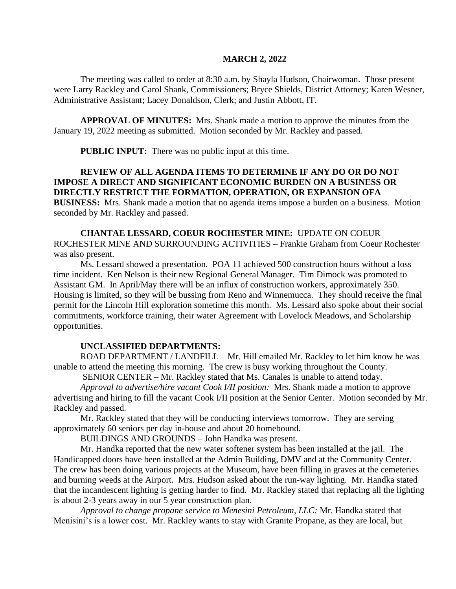#### **MARCH 2, 2022**

The meeting was called to order at 8:30 a.m. by Shayla Hudson, Chairwoman. Those present were Larry Rackley and Carol Shank, Commissioners; Bryce Shields, District Attorney; Karen Wesner, Administrative Assistant; Lacey Donaldson, Clerk; and Justin Abbott, IT.

**APPROVAL OF MINUTES:** Mrs. Shank made a motion to approve the minutes from the January 19, 2022 meeting as submitted. Motion seconded by Mr. Rackley and passed.

**PUBLIC INPUT:** There was no public input at this time.

# **REVIEW OF ALL AGENDA ITEMS TO DETERMINE IF ANY DO OR DO NOT IMPOSE A DIRECT AND SIGNIFICANT ECONOMIC BURDEN ON A BUSINESS OR DIRECTLY RESTRICT THE FORMATION, OPERATION, OR EXPANSION OFA**

**BUSINESS:** Mrs. Shank made a motion that no agenda items impose a burden on a business. Motion seconded by Mr. Rackley and passed.

**CHANTAE LESSARD, COEUR ROCHESTER MINE:** UPDATE ON COEUR ROCHESTER MINE AND SURROUNDING ACTIVITIES – Frankie Graham from Coeur Rochester was also present.

Ms. Lessard showed a presentation. POA 11 achieved 500 construction hours without a loss time incident. Ken Nelson is their new Regional General Manager. Tim Dimock was promoted to Assistant GM. In April/May there will be an influx of construction workers, approximately 350. Housing is limited, so they will be bussing from Reno and Winnemucca. They should receive the final permit for the Lincoln Hill exploration sometime this month. Ms. Lessard also spoke about their social commitments, workforce training, their water Agreement with Lovelock Meadows, and Scholarship opportunities.

#### **UNCLASSIFIED DEPARTMENTS:**

ROAD DEPARTMENT / LANDFILL – Mr. Hill emailed Mr. Rackley to let him know he was unable to attend the meeting this morning. The crew is busy working throughout the County.

SENIOR CENTER – Mr. Rackley stated that Ms. Canales is unable to attend today.

*Approval to advertise/hire vacant Cook I/II position:* Mrs. Shank made a motion to approve advertising and hiring to fill the vacant Cook I/II position at the Senior Center. Motion seconded by Mr. Rackley and passed.

Mr. Rackley stated that they will be conducting interviews tomorrow. They are serving approximately 60 seniors per day in-house and about 20 homebound.

BUILDINGS AND GROUNDS – John Handka was present.

Mr. Handka reported that the new water softener system has been installed at the jail. The Handicapped doors have been installed at the Admin Building, DMV and at the Community Center. The crew has been doing various projects at the Museum, have been filling in graves at the cemeteries and burning weeds at the Airport. Mrs. Hudson asked about the run-way lighting. Mr. Handka stated that the incandescent lighting is getting harder to find. Mr. Rackley stated that replacing all the lighting is about 2-3 years away in our 5 year construction plan.

*Approval to change propane service to Menesini Petroleum, LLC:* Mr. Handka stated that Menisini's is a lower cost. Mr. Rackley wants to stay with Granite Propane, as they are local, but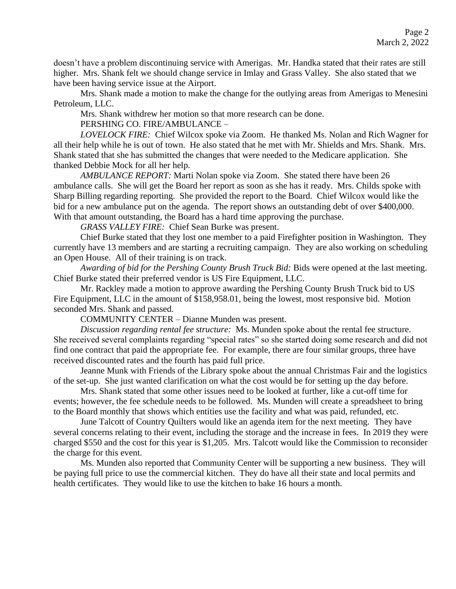doesn't have a problem discontinuing service with Amerigas. Mr. Handka stated that their rates are still higher. Mrs. Shank felt we should change service in Imlay and Grass Valley. She also stated that we have been having service issue at the Airport.

Mrs. Shank made a motion to make the change for the outlying areas from Amerigas to Menesini Petroleum, LLC.

Mrs. Shank withdrew her motion so that more research can be done.

PERSHING CO. FIRE/AMBULANCE –

*LOVELOCK FIRE:* Chief Wilcox spoke via Zoom. He thanked Ms. Nolan and Rich Wagner for all their help while he is out of town. He also stated that he met with Mr. Shields and Mrs. Shank. Mrs. Shank stated that she has submitted the changes that were needed to the Medicare application. She thanked Debbie Mock for all her help.

*AMBULANCE REPORT:* Marti Nolan spoke via Zoom. She stated there have been 26 ambulance calls. She will get the Board her report as soon as she has it ready. Mrs. Childs spoke with Sharp Billing regarding reporting. She provided the report to the Board. Chief Wilcox would like the bid for a new ambulance put on the agenda. The report shows an outstanding debt of over \$400,000. With that amount outstanding, the Board has a hard time approving the purchase.

*GRASS VALLEY FIRE:* Chief Sean Burke was present.

Chief Burke stated that they lost one member to a paid Firefighter position in Washington. They currently have 13 members and are starting a recruiting campaign. They are also working on scheduling an Open House. All of their training is on track.

*Awarding of bid for the Pershing County Brush Truck Bid:* Bids were opened at the last meeting. Chief Burke stated their preferred vendor is US Fire Equipment, LLC.

Mr. Rackley made a motion to approve awarding the Pershing County Brush Truck bid to US Fire Equipment, LLC in the amount of \$158,958.01, being the lowest, most responsive bid. Motion seconded Mrs. Shank and passed.

COMMUNITY CENTER – Dianne Munden was present.

*Discussion regarding rental fee structure:* Ms. Munden spoke about the rental fee structure. She received several complaints regarding "special rates" so she started doing some research and did not find one contract that paid the appropriate fee. For example, there are four similar groups, three have received discounted rates and the fourth has paid full price.

Jeanne Munk with Friends of the Library spoke about the annual Christmas Fair and the logistics of the set-up. She just wanted clarification on what the cost would be for setting up the day before.

Mrs. Shank stated that some other issues need to be looked at further, like a cut-off time for events; however, the fee schedule needs to be followed. Ms. Munden will create a spreadsheet to bring to the Board monthly that shows which entities use the facility and what was paid, refunded, etc.

June Talcott of Country Quilters would like an agenda item for the next meeting. They have several concerns relating to their event, including the storage and the increase in fees. In 2019 they were charged \$550 and the cost for this year is \$1,205. Mrs. Talcott would like the Commission to reconsider the charge for this event.

Ms. Munden also reported that Community Center will be supporting a new business. They will be paying full price to use the commercial kitchen. They do have all their state and local permits and health certificates. They would like to use the kitchen to bake 16 hours a month.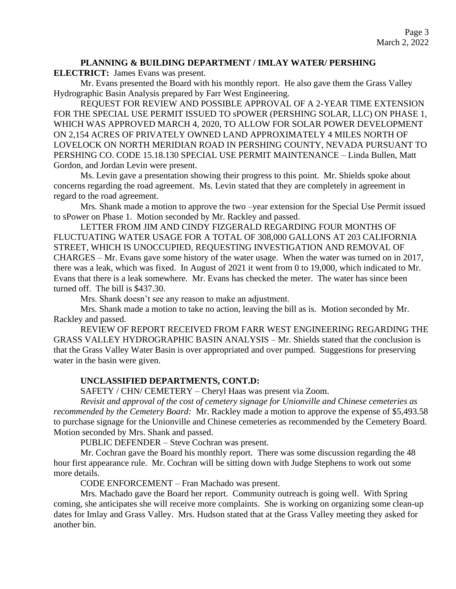### **PLANNING & BUILDING DEPARTMENT / IMLAY WATER/ PERSHING**

**ELECTRICT:** James Evans was present.

Mr. Evans presented the Board with his monthly report. He also gave them the Grass Valley Hydrographic Basin Analysis prepared by Farr West Engineering.

REQUEST FOR REVIEW AND POSSIBLE APPROVAL OF A 2-YEAR TIME EXTENSION FOR THE SPECIAL USE PERMIT ISSUED TO sPOWER (PERSHING SOLAR, LLC) ON PHASE 1, WHICH WAS APPROVED MARCH 4, 2020, TO ALLOW FOR SOLAR POWER DEVELOPMENT ON 2,154 ACRES OF PRIVATELY OWNED LAND APPROXIMATELY 4 MILES NORTH OF LOVELOCK ON NORTH MERIDIAN ROAD IN PERSHING COUNTY, NEVADA PURSUANT TO PERSHING CO. CODE 15.18.130 SPECIAL USE PERMIT MAINTENANCE – Linda Bullen, Matt Gordon, and Jordan Levin were present.

Ms. Levin gave a presentation showing their progress to this point. Mr. Shields spoke about concerns regarding the road agreement. Ms. Levin stated that they are completely in agreement in regard to the road agreement.

Mrs. Shank made a motion to approve the two –year extension for the Special Use Permit issued to sPower on Phase 1. Motion seconded by Mr. Rackley and passed.

LETTER FROM JIM AND CINDY FIZGERALD REGARDING FOUR MONTHS OF FLUCTUATING WATER USAGE FOR A TOTAL OF 308,000 GALLONS AT 203 CALIFORNIA STREET, WHICH IS UNOCCUPIED, REQUESTING INVESTIGATION AND REMOVAL OF CHARGES – Mr. Evans gave some history of the water usage. When the water was turned on in 2017, there was a leak, which was fixed. In August of 2021 it went from 0 to 19,000, which indicated to Mr. Evans that there is a leak somewhere. Mr. Evans has checked the meter. The water has since been turned off. The bill is \$437.30.

Mrs. Shank doesn't see any reason to make an adjustment.

Mrs. Shank made a motion to take no action, leaving the bill as is. Motion seconded by Mr. Rackley and passed.

REVIEW OF REPORT RECEIVED FROM FARR WEST ENGINEERING REGARDING THE GRASS VALLEY HYDROGRAPHIC BASIN ANALYSIS – Mr. Shields stated that the conclusion is that the Grass Valley Water Basin is over appropriated and over pumped. Suggestions for preserving water in the basin were given.

## **UNCLASSIFIED DEPARTMENTS, CONT.D:**

SAFETY / CHN/ CEMETERY – Cheryl Haas was present via Zoom.

*Revisit and approval of the cost of cemetery signage for Unionville and Chinese cemeteries as recommended by the Cemetery Board:* Mr. Rackley made a motion to approve the expense of \$5,493.58 to purchase signage for the Unionville and Chinese cemeteries as recommended by the Cemetery Board. Motion seconded by Mrs. Shank and passed.

PUBLIC DEFENDER – Steve Cochran was present.

Mr. Cochran gave the Board his monthly report. There was some discussion regarding the 48 hour first appearance rule. Mr. Cochran will be sitting down with Judge Stephens to work out some more details.

CODE ENFORCEMENT – Fran Machado was present.

Mrs. Machado gave the Board her report. Community outreach is going well. With Spring coming, she anticipates she will receive more complaints. She is working on organizing some clean-up dates for Imlay and Grass Valley. Mrs. Hudson stated that at the Grass Valley meeting they asked for another bin.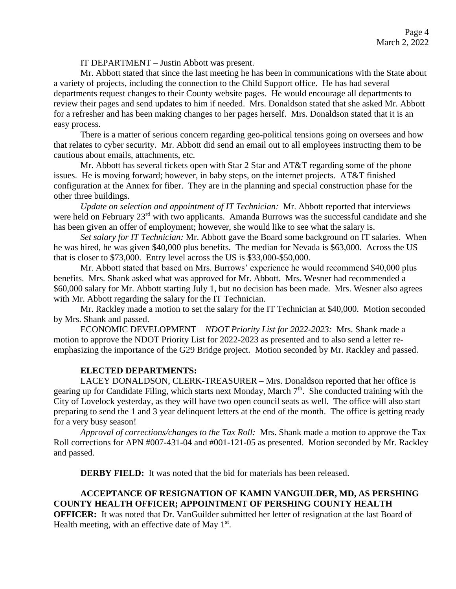IT DEPARTMENT – Justin Abbott was present.

Mr. Abbott stated that since the last meeting he has been in communications with the State about a variety of projects, including the connection to the Child Support office. He has had several departments request changes to their County website pages. He would encourage all departments to review their pages and send updates to him if needed. Mrs. Donaldson stated that she asked Mr. Abbott for a refresher and has been making changes to her pages herself. Mrs. Donaldson stated that it is an easy process.

There is a matter of serious concern regarding geo-political tensions going on oversees and how that relates to cyber security. Mr. Abbott did send an email out to all employees instructing them to be cautious about emails, attachments, etc.

Mr. Abbott has several tickets open with Star 2 Star and AT&T regarding some of the phone issues. He is moving forward; however, in baby steps, on the internet projects. AT&T finished configuration at the Annex for fiber. They are in the planning and special construction phase for the other three buildings.

*Update on selection and appointment of IT Technician:* Mr. Abbott reported that interviews were held on February 23<sup>rd</sup> with two applicants. Amanda Burrows was the successful candidate and she has been given an offer of employment; however, she would like to see what the salary is.

*Set salary for IT Technician:* Mr. Abbott gave the Board some background on IT salaries. When he was hired, he was given \$40,000 plus benefits. The median for Nevada is \$63,000. Across the US that is closer to \$73,000. Entry level across the US is \$33,000-\$50,000.

Mr. Abbott stated that based on Mrs. Burrows' experience he would recommend \$40,000 plus benefits. Mrs. Shank asked what was approved for Mr. Abbott. Mrs. Wesner had recommended a \$60,000 salary for Mr. Abbott starting July 1, but no decision has been made. Mrs. Wesner also agrees with Mr. Abbott regarding the salary for the IT Technician.

Mr. Rackley made a motion to set the salary for the IT Technician at \$40,000. Motion seconded by Mrs. Shank and passed.

ECONOMIC DEVELOPMENT – *NDOT Priority List for 2022-2023:* Mrs. Shank made a motion to approve the NDOT Priority List for 2022-2023 as presented and to also send a letter reemphasizing the importance of the G29 Bridge project. Motion seconded by Mr. Rackley and passed.

### **ELECTED DEPARTMENTS:**

LACEY DONALDSON, CLERK-TREASURER – Mrs. Donaldson reported that her office is gearing up for Candidate Filing, which starts next Monday, March 7<sup>th</sup>. She conducted training with the City of Lovelock yesterday, as they will have two open council seats as well. The office will also start preparing to send the 1 and 3 year delinquent letters at the end of the month. The office is getting ready for a very busy season!

*Approval of corrections/changes to the Tax Roll:* Mrs. Shank made a motion to approve the Tax Roll corrections for APN #007-431-04 and #001-121-05 as presented. Motion seconded by Mr. Rackley and passed.

**DERBY FIELD:** It was noted that the bid for materials has been released.

## **ACCEPTANCE OF RESIGNATION OF KAMIN VANGUILDER, MD, AS PERSHING COUNTY HEALTH OFFICER; APPOINTMENT OF PERSHING COUNTY HEALTH**

**OFFICER:** It was noted that Dr. VanGuilder submitted her letter of resignation at the last Board of Health meeting, with an effective date of May  $1<sup>st</sup>$ .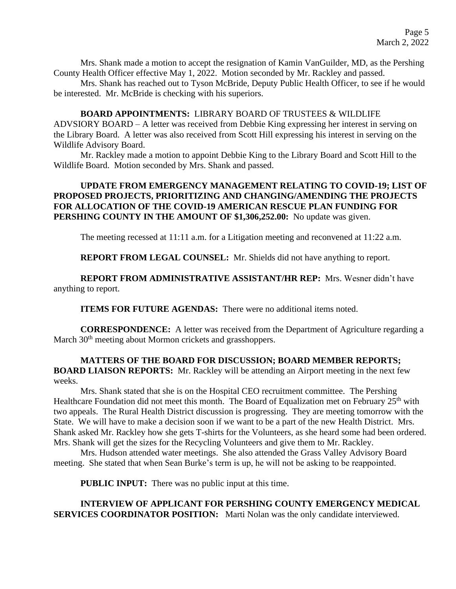Mrs. Shank made a motion to accept the resignation of Kamin VanGuilder, MD, as the Pershing County Health Officer effective May 1, 2022. Motion seconded by Mr. Rackley and passed.

Mrs. Shank has reached out to Tyson McBride, Deputy Public Health Officer, to see if he would be interested. Mr. McBride is checking with his superiors.

### **BOARD APPOINTMENTS:** LIBRARY BOARD OF TRUSTEES & WILDLIFE

ADVSIORY BOARD – A letter was received from Debbie King expressing her interest in serving on the Library Board. A letter was also received from Scott Hill expressing his interest in serving on the Wildlife Advisory Board.

Mr. Rackley made a motion to appoint Debbie King to the Library Board and Scott Hill to the Wildlife Board. Motion seconded by Mrs. Shank and passed.

### **UPDATE FROM EMERGENCY MANAGEMENT RELATING TO COVID-19; LIST OF PROPOSED PROJECTS, PRIORITIZING AND CHANGING/AMENDING THE PROJECTS FOR ALLOCATION OF THE COVID-19 AMERICAN RESCUE PLAN FUNDING FOR PERSHING COUNTY IN THE AMOUNT OF \$1,306,252.00:** No update was given.

The meeting recessed at 11:11 a.m. for a Litigation meeting and reconvened at 11:22 a.m.

**REPORT FROM LEGAL COUNSEL:** Mr. Shields did not have anything to report.

**REPORT FROM ADMINISTRATIVE ASSISTANT/HR REP:** Mrs. Wesner didn't have anything to report.

**ITEMS FOR FUTURE AGENDAS:** There were no additional items noted.

**CORRESPONDENCE:** A letter was received from the Department of Agriculture regarding a March 30<sup>th</sup> meeting about Mormon crickets and grasshoppers.

## **MATTERS OF THE BOARD FOR DISCUSSION; BOARD MEMBER REPORTS; BOARD LIAISON REPORTS:** Mr. Rackley will be attending an Airport meeting in the next few weeks.

Mrs. Shank stated that she is on the Hospital CEO recruitment committee. The Pershing Healthcare Foundation did not meet this month. The Board of Equalization met on February 25<sup>th</sup> with two appeals. The Rural Health District discussion is progressing. They are meeting tomorrow with the State. We will have to make a decision soon if we want to be a part of the new Health District. Mrs. Shank asked Mr. Rackley how she gets T-shirts for the Volunteers, as she heard some had been ordered. Mrs. Shank will get the sizes for the Recycling Volunteers and give them to Mr. Rackley.

Mrs. Hudson attended water meetings. She also attended the Grass Valley Advisory Board meeting. She stated that when Sean Burke's term is up, he will not be asking to be reappointed.

**PUBLIC INPUT:** There was no public input at this time.

**INTERVIEW OF APPLICANT FOR PERSHING COUNTY EMERGENCY MEDICAL SERVICES COORDINATOR POSITION:** Marti Nolan was the only candidate interviewed.